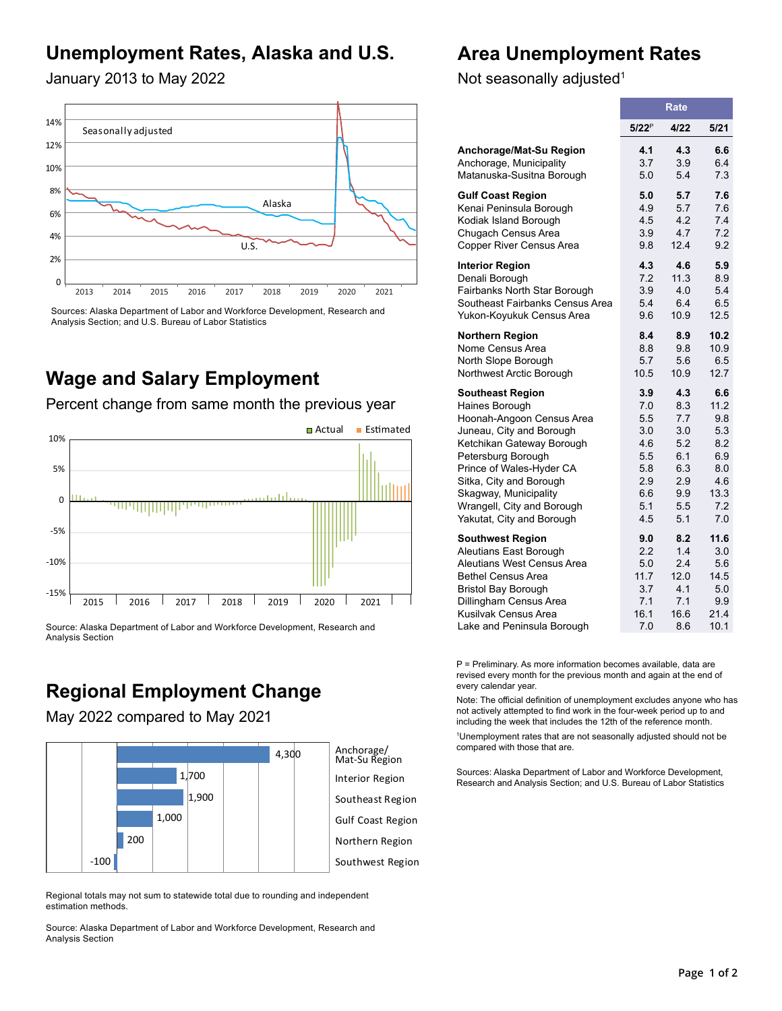## **Unemployment Rates, Alaska and U.S.**

### **Area Unemployment Rates**

January 2013 to May 2022



Sources: Alaska Department of Labor and Workforce Development, Research and Analysis Section; and U.S. Bureau of Labor Statistics

### **Wage and Salary Employment**

Percent change from same month the previous year



Source: Alaska Department of Labor and Workforce Development, Research and Analysis Section

# **Regional Employment Change**

May 2022 compared to May 2021



Regional totals may not sum to statewide total due to rounding and independent estimation methods.

Source: Alaska Department of Labor and Workforce Development, Research and Analysis Section

Not seasonally adjusted<sup>1</sup>

|                                 | <b>Rate</b> |      |      |  |  |
|---------------------------------|-------------|------|------|--|--|
|                                 | $5/22^P$    | 4/22 | 5/21 |  |  |
| Anchorage/Mat-Su Region         | 4.1         | 4.3  | 6.6  |  |  |
| Anchorage, Municipality         | 3.7         | 3.9  | 6.4  |  |  |
| Matanuska-Susitna Borough       | 5.0         | 5.4  | 7.3  |  |  |
| <b>Gulf Coast Region</b>        | 5.0         | 5.7  | 7.6  |  |  |
| Kenai Peninsula Borough         | 4.9         | 5.7  | 7.6  |  |  |
| Kodiak Island Borough           | 4.5         | 4.2  | 7.4  |  |  |
| Chugach Census Area             | 3.9         | 4.7  | 7.2  |  |  |
| Copper River Census Area        | 9.8         | 12.4 | 9.2  |  |  |
| <b>Interior Region</b>          | 4.3         | 4.6  | 5.9  |  |  |
| Denali Borough                  | 7.2         | 11.3 | 8.9  |  |  |
| Fairbanks North Star Borough    | 3.9         | 4.0  | 5.4  |  |  |
| Southeast Fairbanks Census Area | 5.4         | 6.4  | 6.5  |  |  |
| Yukon-Koyukuk Census Area       | 9.6         | 10.9 | 12.5 |  |  |
| <b>Northern Region</b>          | 8.4         | 8.9  | 10.2 |  |  |
| Nome Census Area                | 8.8         | 9.8  | 10.9 |  |  |
| North Slope Borough             | 5.7         | 5.6  | 6.5  |  |  |
| Northwest Arctic Borough        | 10.5        | 10.9 | 12.7 |  |  |
| <b>Southeast Region</b>         | 3.9         | 4.3  | 6.6  |  |  |
| Haines Borough                  | 7.0         | 8.3  | 11.2 |  |  |
| Hoonah-Angoon Census Area       | 5.5         | 7.7  | 9.8  |  |  |
| Juneau, City and Borough        | 3.0         | 3.0  | 5.3  |  |  |
| Ketchikan Gateway Borough       | 4.6         | 5.2  | 8.2  |  |  |
| Petersburg Borough              | 5.5         | 6.1  | 6.9  |  |  |
| Prince of Wales-Hyder CA        | 5.8         | 6.3  | 8.0  |  |  |
| Sitka, City and Borough         | 2.9         | 2.9  | 4.6  |  |  |
| Skagway, Municipality           | 6.6         | 9.9  | 13.3 |  |  |
| Wrangell, City and Borough      | 5.1         | 5.5  | 7.2  |  |  |
| Yakutat, City and Borough       | 4.5         | 5.1  | 7.0  |  |  |
| <b>Southwest Region</b>         | 9.0         | 8.2  | 11.6 |  |  |
| Aleutians East Borough          | 2.2         | 1.4  | 3.0  |  |  |
| Aleutians West Census Area      | 5.0         | 2.4  | 5.6  |  |  |
| <b>Bethel Census Area</b>       | 11.7        | 12.0 | 14.5 |  |  |
| <b>Bristol Bay Borough</b>      | 3.7         | 4.1  | 5.0  |  |  |
| Dillingham Census Area          | 7.1         | 7.1  | 9.9  |  |  |
| Kusilvak Census Area            | 16.1        | 16.6 | 21.4 |  |  |
| Lake and Peninsula Borough      | 7.0         | 8.6  | 10.1 |  |  |

P = Preliminary. As more information becomes available, data are revised every month for the previous month and again at the end of every calendar year.

Note: The official definition of unemployment excludes anyone who has not actively attempted to find work in the four-week period up to and including the week that includes the 12th of the reference month.

1 Unemployment rates that are not seasonally adjusted should not be compared with those that are.

Sources: Alaska Department of Labor and Workforce Development, Research and Analysis Section; and U.S. Bureau of Labor Statistics